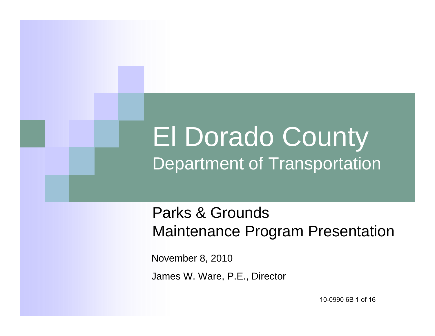### El Dorado County Department of Transportation

### Parks & Grounds Maintenance Program Presentation

November 8, 2010 James W. Ware, P.E., Director

10-0990 6B 1 of 16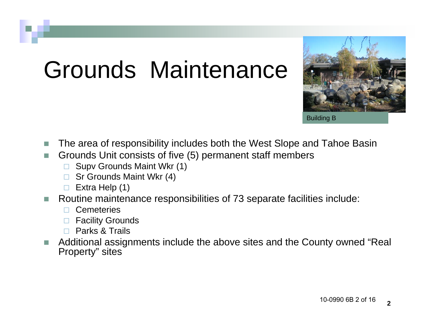# Grounds Maintenance



Building B

- $\mathcal{C}^{\mathcal{A}}$ The area of responsibility includes both the West Slope and Tahoe Basin
- **Tale**  Grounds Unit consists of five (5) permanent staff members
	- Supv Grounds Maint Wkr (1)
	- $\Box$ Sr Grounds Maint Wkr (4)
	- $\Box$ Extra Help (1)
- $\mathcal{C}^{\mathcal{A}}$  Routine maintenance responsibilities of 73 separate facilities include:
	- **Cemeteries**
	- □ Facility Grounds
	- $\Box$ Parks & Trails
- П Additional assignments include the above sites and the County owned "Real Property" sites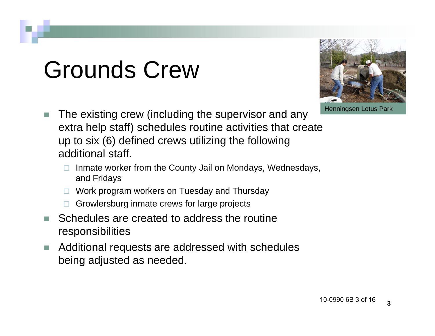# Grounds Crew



Henningsen Lotus Park

- The existing crew (including the supervisor and any extra help staff) schedules routine activities that create up to six (6) defined crews utilizing the following additional staff.
	- Inmate worker from the County Jail on Mondays, Wednesdays, and Fridays
	- Work program workers on Tuesday and Thursday
	- Growlersburg inmate crews for large projects
- F Schedules are created to address the routine responsibilities
- $\mathbb{R}^n$  Additional requests are addressed with schedules being adjusted as needed.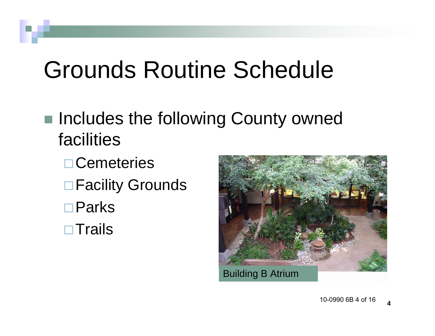# Grounds Routine Schedule

- Includes the following County owned facilities
	- **□ Cemeteries □ Facility Grounds** Parks  $\square$  Trails

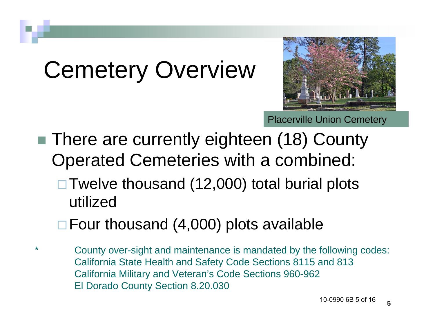# Cemetery Overview



Placerville Union Cemetery

- There are currently eighteen (18) County Operated Cemeteries with a combined:  $\Box$  Twelve thousand (12,000) total burial plots
	- utilized
	- $\Box$  Four thousand (4,000) plots available
- County over-sight and maintenance is mandated by the following codes: California State Health and Safety Code Sections 8115 and 813 California Military and Veteran's Code Sections 960-962 El Dorado County Section 8.20.030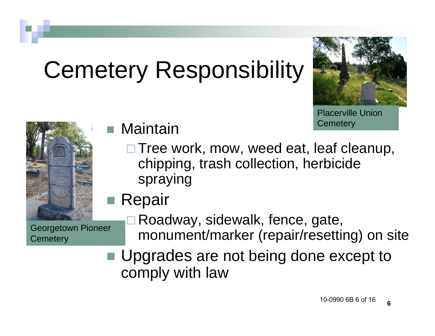# Cemetery Responsibility



Placerville Union **Cemetery** 



Georgetown Pioneer **Cemetery** 

Maintain

- **□ Tree work, mow, weed eat, leaf cleanup,** chipping, trash collection, herbicide spraying
- Repair
	- □ Roadway, sidewalk, fence, gate, monument/marker (repair/resetting) on site
- Upgrades are not being done except to comply with law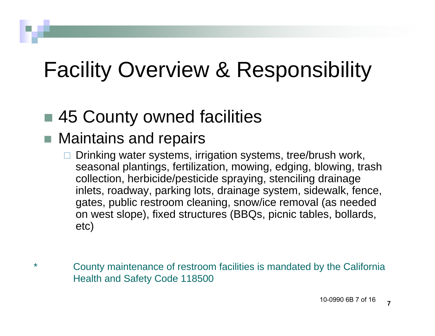### Facility Overview & Responsibility

### ■ 45 County owned facilities

### ■ Maintains and repairs

- $\Box$  Drinking water systems, irrigation systems, tree/brush work, seasonal plantings, fertilization, mowing, edging, blowing, trash collection, herbicide/pesticide spraying, stenciling drainage inlets, roadway, parking lots, drainage system, sidewalk, fence, gates, public restroom cleaning, snow/ice removal (as needed on west slope), fixed structures (BBQs, picnic tables, bollards, etc)
- County maintenance of restroom facilities is mandated by the California Health and Safety Code 118500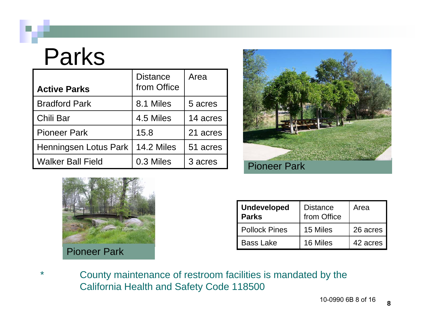### Parks

| <b>Active Parks</b>      | <b>Distance</b><br>from Office | Area     |
|--------------------------|--------------------------------|----------|
| <b>Bradford Park</b>     | 8.1 Miles                      | 5 acres  |
| Chili Bar                | 4.5 Miles                      | 14 acres |
| <b>Pioneer Park</b>      | 15.8                           | 21 acres |
| Henningsen Lotus Park    | 14.2 Miles                     | 51 acres |
| <b>Walker Ball Field</b> | 0.3 Miles                      | 3 acres  |





| <b>Undeveloped</b><br><b>Parks</b> | <b>Distance</b><br>from Office | Area     |
|------------------------------------|--------------------------------|----------|
| <b>Pollock Pines</b>               | 15 Miles                       | 26 acres |
| <b>Bass Lake</b>                   | 16 Miles                       | 42 acres |

County maintenance of restroom facilities is mandated by the California Health and Safety Code 118500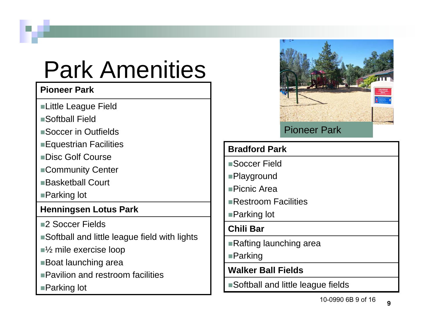## Park Amenities

#### **Pioneer Park**

- ■Little League Field
- Softball Field
- Soccer in Outfields
- Equestrian Facilities
- Disc Golf Course
- ■Community Center
- ■Basketball Court
- ■Parking lot

#### **Henningsen Lotus Park**

- ■2 Soccer Fields
- Softball and little league field with lights
- ■<sup>1/2</sup> mile exercise loop
- Boat launching area
- Pavilion and restroom facilities
- ■Parking lot



#### Pioneer Park

#### **Bradford Park**

- Soccer Field
- Playground
- Picnic Area
- Restroom Facilities
- ■Parking lot

#### **Chili Bar**

- ■Rafting launching area
- ■**Parking**
- **Walker Ball Fields**
- Softball and little league fields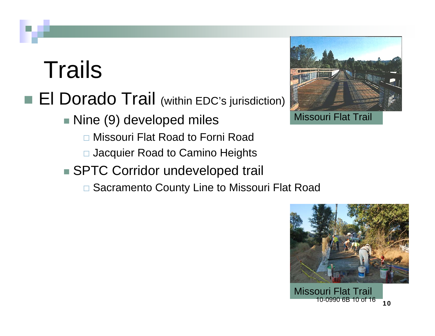## **Trails**

### **El Dorado Trail** (within EDC's jurisdiction)

■Nine (9) developed miles

- Missouri Flat Road to Forni Road
- □ Jacquier Road to Camino Heights
- SPTC Corridor undeveloped trail
	- Sacramento County Line to Missouri Flat Road



Missouri Flat Trail

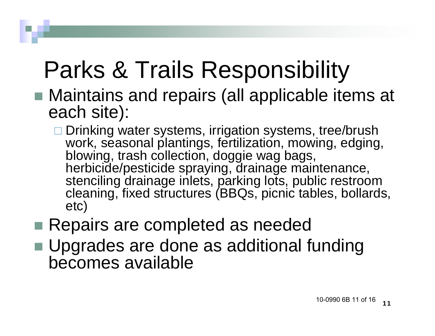# Parks & Trails Responsibility

- Maintains and repairs (all applicable items at each site):
	- **□ Drinking water systems, irrigation systems, tree/brush** work, seasonal plantings, fertilization, mowing, edging, blowing, trash collection, doggie wag bags, herbicide/pesticide spraying, drainage maintenance, stenciling drainage inlets, parking lots, public restroom cleaning, fixed structures (BBQs, picnic tables, bollards, etc)
- Repairs are completed as needed
- Upgrades are done as additional funding becomes available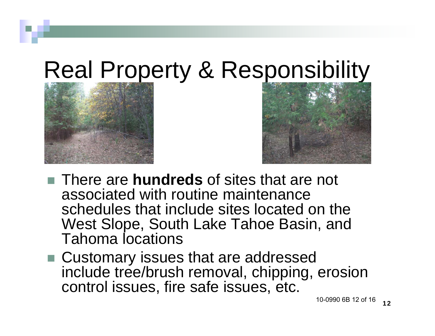## Real Property & Responsibility





- There are **hundreds** of sites that are not associated with routine maintenance schedules that include sites located on the West Slope, South Lake Tahoe Basin, and Tahoma locations
- Customary issues that are addressed include tree/brush removal, chipping, erosion control issues, fire safe issues, etc.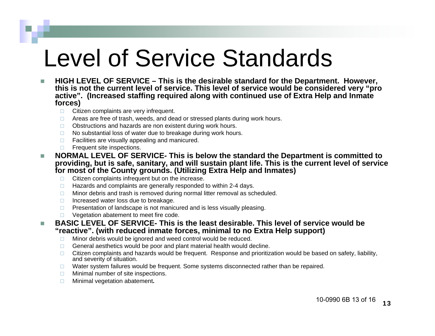## Level of Service Standards

- n. **HIGH LEVEL OF SERVICE – This is the desirable standard for the Department. However, this is not the current level of service. This level of service would be considered very "pro active". (Increased staffing required along with continued use of Extra Help and Inmate forces)**
	- □ Citizen complaints are very infrequent.
	- □ Areas are free of trash, weeds, and dead or stressed plants during work hours.
	- $\Box$ Obstructions and hazards are non existent during work hours.
	- $\Box$ No substantial loss of water due to breakage during work hours.
	- $\Box$ Facilities are visually appealing and manicured.
	- $\Box$ Frequent site inspections.
- n. **NORMAL LEVEL OF SERVICE- This is below the standard the Department is committed to providing, but is safe, sanitary, and will sustain plant life. This is the current level of service for most of the County grounds. (Utilizing Extra Help and Inmates)**
	- $\Box$ Citizen complaints infrequent but on the increase.
	- $\Box$ Hazards and complaints are generally responded to within 2-4 days.
	- $\Box$ Minor debris and trash is removed during normal litter removal as scheduled.
	- $\Box$ Increased water loss due to breakage.
	- $\Box$ Presentation of landscape is not manicured and is less visually pleasing.
	- $\Box$ Vegetation abatement to meet fire code.
- n. **BASIC LEVEL OF SERVICE- This is the least desirable. This level of service would be "reactive". (with reduced inmate forces, minimal to no Extra Help support)**
	- $\Box$ Minor debris would be ignored and weed control would be reduced.
	- $\Box$ General aesthetics would be poor and plant material health would decline.
	- $\Box$  Citizen complaints and hazards would be frequent. Response and prioritization would be based on safety, liability, and severity of situation.
	- $\Box$ Water system failures would be frequent. Some systems disconnected rather than be repaired.
	- $\Box$ Minimal number of site inspections.
	- $\Box$ Minimal vegetation abatement**.**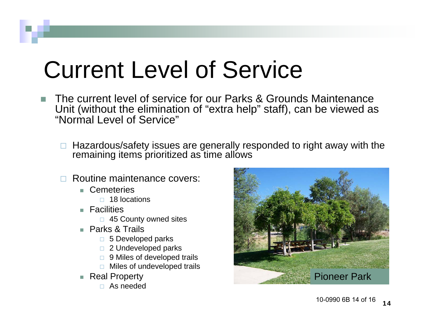# Current Level of Service

- The current level of service for our Parks & Grounds Maintenance Unit (without the elimination of "extra help" staff), can be viewed as "Normal Level of Service"
	- $\Box$  Hazardous/safety issues are generally responded to right away with the remaining items prioritized as time allows
	- Routine maintenance covers:
		- Cemeteries
			- □ 18 locations
		- $\blacksquare$  Facilities
			- 45 County owned sites
		- Parks & Trails
			- □ 5 Developed parks
			- □ 2 Undeveloped parks
			- □ 9 Miles of developed trails
			- □ Miles of undeveloped trails
		- Real Property
			- As needed

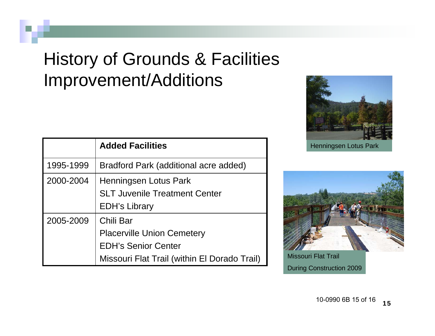### History of Grounds & Facilities Improvement/Additions

|           | <b>Added Facilities</b>                      |
|-----------|----------------------------------------------|
| 1995-1999 | Bradford Park (additional acre added)        |
| 2000-2004 | Henningsen Lotus Park                        |
|           | <b>SLT Juvenile Treatment Center</b>         |
|           | <b>EDH's Library</b>                         |
| 2005-2009 | Chili Bar                                    |
|           | <b>Placerville Union Cemetery</b>            |
|           | <b>EDH's Senior Center</b>                   |
|           | Missouri Flat Trail (within El Dorado Trail) |





Missouri Flat Trail During Construction 2009